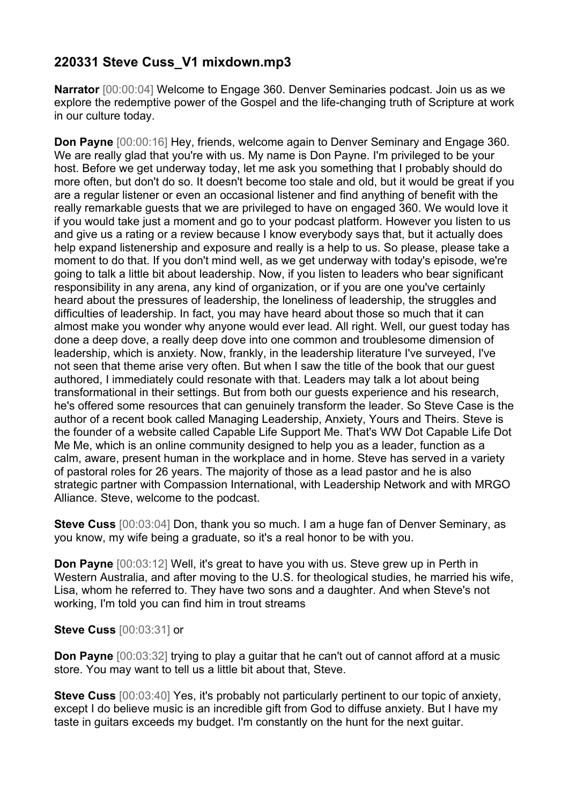## **220331 Steve Cuss\_V1 mixdown.mp3**

**Narrator** [00:00:04] Welcome to Engage 360. Denver Seminaries podcast. Join us as we explore the redemptive power of the Gospel and the life-changing truth of Scripture at work in our culture today.

**Don Payne** [00:00:16] Hey, friends, welcome again to Denver Seminary and Engage 360. We are really glad that you're with us. My name is Don Payne. I'm privileged to be your host. Before we get underway today, let me ask you something that I probably should do more often, but don't do so. It doesn't become too stale and old, but it would be great if you are a regular listener or even an occasional listener and find anything of benefit with the really remarkable guests that we are privileged to have on engaged 360. We would love it if you would take just a moment and go to your podcast platform. However you listen to us and give us a rating or a review because I know everybody says that, but it actually does help expand listenership and exposure and really is a help to us. So please, please take a moment to do that. If you don't mind well, as we get underway with today's episode, we're going to talk a little bit about leadership. Now, if you listen to leaders who bear significant responsibility in any arena, any kind of organization, or if you are one you've certainly heard about the pressures of leadership, the loneliness of leadership, the struggles and difficulties of leadership. In fact, you may have heard about those so much that it can almost make you wonder why anyone would ever lead. All right. Well, our guest today has done a deep dove, a really deep dove into one common and troublesome dimension of leadership, which is anxiety. Now, frankly, in the leadership literature I've surveyed, I've not seen that theme arise very often. But when I saw the title of the book that our guest authored, I immediately could resonate with that. Leaders may talk a lot about being transformational in their settings. But from both our guests experience and his research, he's offered some resources that can genuinely transform the leader. So Steve Case is the author of a recent book called Managing Leadership, Anxiety, Yours and Theirs. Steve is the founder of a website called Capable Life Support Me. That's WW Dot Capable Life Dot Me Me, which is an online community designed to help you as a leader, function as a calm, aware, present human in the workplace and in home. Steve has served in a variety of pastoral roles for 26 years. The majority of those as a lead pastor and he is also strategic partner with Compassion International, with Leadership Network and with MRGO Alliance. Steve, welcome to the podcast.

**Steve Cuss** [00:03:04] Don, thank you so much. I am a huge fan of Denver Seminary, as you know, my wife being a graduate, so it's a real honor to be with you.

**Don Payne** [00:03:12] Well, it's great to have you with us. Steve grew up in Perth in Western Australia, and after moving to the U.S. for theological studies, he married his wife, Lisa, whom he referred to. They have two sons and a daughter. And when Steve's not working, I'm told you can find him in trout streams

## **Steve Cuss** [00:03:31] or

**Don Payne**  $[00:03:32]$  trying to play a quitar that he can't out of cannot afford at a music store. You may want to tell us a little bit about that, Steve.

**Steve Cuss** [00:03:40] Yes, it's probably not particularly pertinent to our topic of anxiety, except I do believe music is an incredible gift from God to diffuse anxiety. But I have my taste in guitars exceeds my budget. I'm constantly on the hunt for the next guitar.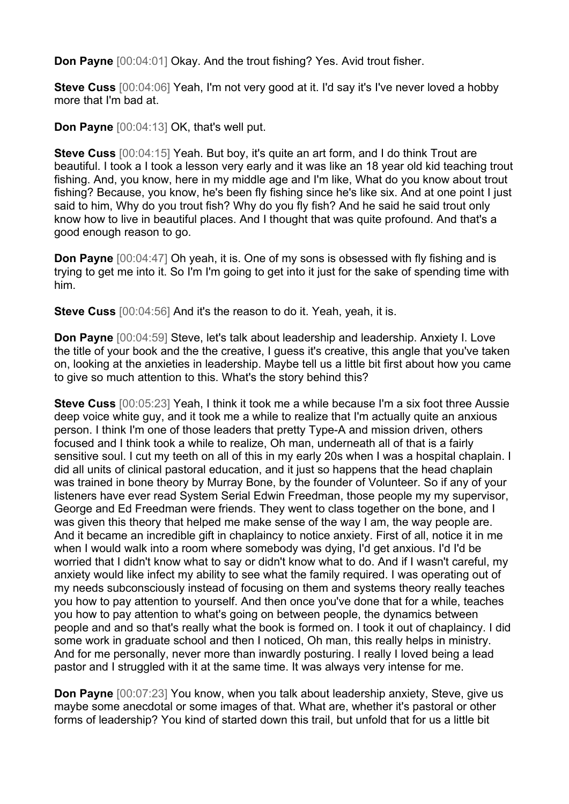**Don Payne** [00:04:01] Okay. And the trout fishing? Yes. Avid trout fisher.

**Steve Cuss** [00:04:06] Yeah, I'm not very good at it. I'd say it's I've never loved a hobby more that I'm bad at.

**Don Payne** [00:04:13] OK, that's well put.

**Steve Cuss** [00:04:15] Yeah. But boy, it's quite an art form, and I do think Trout are beautiful. I took a I took a lesson very early and it was like an 18 year old kid teaching trout fishing. And, you know, here in my middle age and I'm like, What do you know about trout fishing? Because, you know, he's been fly fishing since he's like six. And at one point I just said to him, Why do you trout fish? Why do you fly fish? And he said he said trout only know how to live in beautiful places. And I thought that was quite profound. And that's a good enough reason to go.

**Don Payne** [00:04:47] Oh yeah, it is. One of my sons is obsessed with fly fishing and is trying to get me into it. So I'm I'm going to get into it just for the sake of spending time with him.

**Steve Cuss** [00:04:56] And it's the reason to do it. Yeah, yeah, it is.

**Don Payne** [00:04:59] Steve, let's talk about leadership and leadership. Anxiety I. Love the title of your book and the the creative, I guess it's creative, this angle that you've taken on, looking at the anxieties in leadership. Maybe tell us a little bit first about how you came to give so much attention to this. What's the story behind this?

**Steve Cuss** [00:05:23] Yeah, I think it took me a while because I'm a six foot three Aussie deep voice white guy, and it took me a while to realize that I'm actually quite an anxious person. I think I'm one of those leaders that pretty Type-A and mission driven, others focused and I think took a while to realize, Oh man, underneath all of that is a fairly sensitive soul. I cut my teeth on all of this in my early 20s when I was a hospital chaplain. I did all units of clinical pastoral education, and it just so happens that the head chaplain was trained in bone theory by Murray Bone, by the founder of Volunteer. So if any of your listeners have ever read System Serial Edwin Freedman, those people my my supervisor, George and Ed Freedman were friends. They went to class together on the bone, and I was given this theory that helped me make sense of the way I am, the way people are. And it became an incredible gift in chaplaincy to notice anxiety. First of all, notice it in me when I would walk into a room where somebody was dying, I'd get anxious. I'd I'd be worried that I didn't know what to say or didn't know what to do. And if I wasn't careful, my anxiety would like infect my ability to see what the family required. I was operating out of my needs subconsciously instead of focusing on them and systems theory really teaches you how to pay attention to yourself. And then once you've done that for a while, teaches you how to pay attention to what's going on between people, the dynamics between people and and so that's really what the book is formed on. I took it out of chaplaincy. I did some work in graduate school and then I noticed, Oh man, this really helps in ministry. And for me personally, never more than inwardly posturing. I really I loved being a lead pastor and I struggled with it at the same time. It was always very intense for me.

**Don Payne** [00:07:23] You know, when you talk about leadership anxiety, Steve, give us maybe some anecdotal or some images of that. What are, whether it's pastoral or other forms of leadership? You kind of started down this trail, but unfold that for us a little bit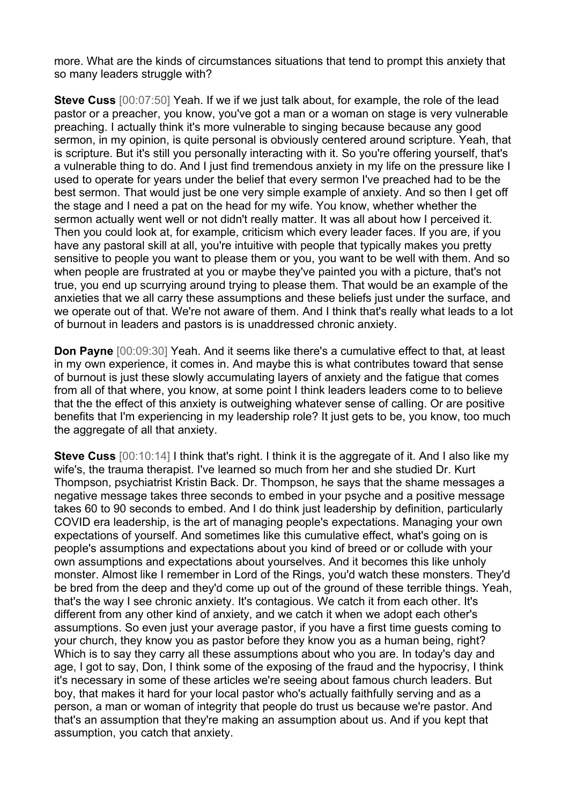more. What are the kinds of circumstances situations that tend to prompt this anxiety that so many leaders struggle with?

**Steve Cuss** [00:07:50] Yeah. If we if we just talk about, for example, the role of the lead pastor or a preacher, you know, you've got a man or a woman on stage is very vulnerable preaching. I actually think it's more vulnerable to singing because because any good sermon, in my opinion, is quite personal is obviously centered around scripture. Yeah, that is scripture. But it's still you personally interacting with it. So you're offering yourself, that's a vulnerable thing to do. And I just find tremendous anxiety in my life on the pressure like I used to operate for years under the belief that every sermon I've preached had to be the best sermon. That would just be one very simple example of anxiety. And so then I get off the stage and I need a pat on the head for my wife. You know, whether whether the sermon actually went well or not didn't really matter. It was all about how I perceived it. Then you could look at, for example, criticism which every leader faces. If you are, if you have any pastoral skill at all, you're intuitive with people that typically makes you pretty sensitive to people you want to please them or you, you want to be well with them. And so when people are frustrated at you or maybe they've painted you with a picture, that's not true, you end up scurrying around trying to please them. That would be an example of the anxieties that we all carry these assumptions and these beliefs just under the surface, and we operate out of that. We're not aware of them. And I think that's really what leads to a lot of burnout in leaders and pastors is is unaddressed chronic anxiety.

**Don Payne** [00:09:30] Yeah. And it seems like there's a cumulative effect to that, at least in my own experience, it comes in. And maybe this is what contributes toward that sense of burnout is just these slowly accumulating layers of anxiety and the fatigue that comes from all of that where, you know, at some point I think leaders leaders come to to believe that the the effect of this anxiety is outweighing whatever sense of calling. Or are positive benefits that I'm experiencing in my leadership role? It just gets to be, you know, too much the aggregate of all that anxiety.

**Steve Cuss**  $[00:10:14]$  I think that's right. I think it is the aggregate of it. And I also like my wife's, the trauma therapist. I've learned so much from her and she studied Dr. Kurt Thompson, psychiatrist Kristin Back. Dr. Thompson, he says that the shame messages a negative message takes three seconds to embed in your psyche and a positive message takes 60 to 90 seconds to embed. And I do think just leadership by definition, particularly COVID era leadership, is the art of managing people's expectations. Managing your own expectations of yourself. And sometimes like this cumulative effect, what's going on is people's assumptions and expectations about you kind of breed or or collude with your own assumptions and expectations about yourselves. And it becomes this like unholy monster. Almost like I remember in Lord of the Rings, you'd watch these monsters. They'd be bred from the deep and they'd come up out of the ground of these terrible things. Yeah, that's the way I see chronic anxiety. It's contagious. We catch it from each other. It's different from any other kind of anxiety, and we catch it when we adopt each other's assumptions. So even just your average pastor, if you have a first time guests coming to your church, they know you as pastor before they know you as a human being, right? Which is to say they carry all these assumptions about who you are. In today's day and age, I got to say, Don, I think some of the exposing of the fraud and the hypocrisy, I think it's necessary in some of these articles we're seeing about famous church leaders. But boy, that makes it hard for your local pastor who's actually faithfully serving and as a person, a man or woman of integrity that people do trust us because we're pastor. And that's an assumption that they're making an assumption about us. And if you kept that assumption, you catch that anxiety.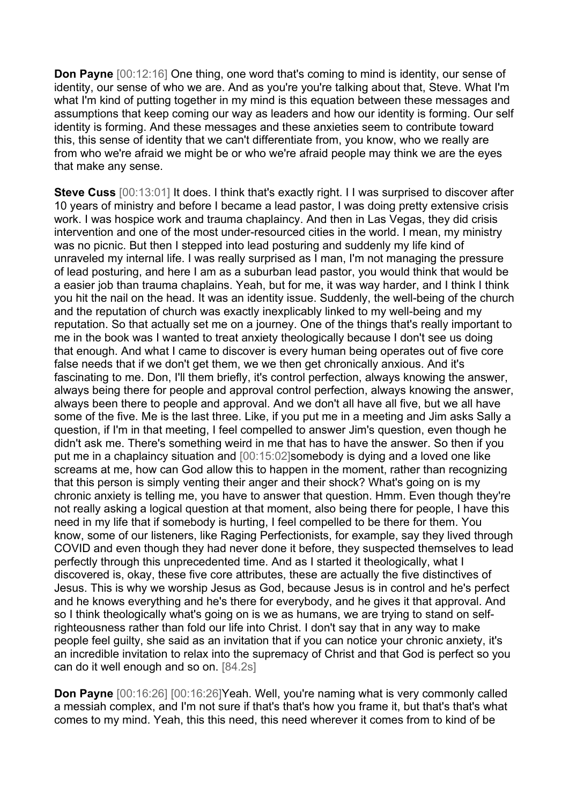**Don Payne** [00:12:16] One thing, one word that's coming to mind is identity, our sense of identity, our sense of who we are. And as you're you're talking about that, Steve. What I'm what I'm kind of putting together in my mind is this equation between these messages and assumptions that keep coming our way as leaders and how our identity is forming. Our self identity is forming. And these messages and these anxieties seem to contribute toward this, this sense of identity that we can't differentiate from, you know, who we really are from who we're afraid we might be or who we're afraid people may think we are the eyes that make any sense.

**Steve Cuss** [00:13:01] It does. I think that's exactly right. I I was surprised to discover after 10 years of ministry and before I became a lead pastor, I was doing pretty extensive crisis work. I was hospice work and trauma chaplaincy. And then in Las Vegas, they did crisis intervention and one of the most under-resourced cities in the world. I mean, my ministry was no picnic. But then I stepped into lead posturing and suddenly my life kind of unraveled my internal life. I was really surprised as I man, I'm not managing the pressure of lead posturing, and here I am as a suburban lead pastor, you would think that would be a easier job than trauma chaplains. Yeah, but for me, it was way harder, and I think I think you hit the nail on the head. It was an identity issue. Suddenly, the well-being of the church and the reputation of church was exactly inexplicably linked to my well-being and my reputation. So that actually set me on a journey. One of the things that's really important to me in the book was I wanted to treat anxiety theologically because I don't see us doing that enough. And what I came to discover is every human being operates out of five core false needs that if we don't get them, we we then get chronically anxious. And it's fascinating to me. Don, I'll them briefly, it's control perfection, always knowing the answer, always being there for people and approval control perfection, always knowing the answer, always been there to people and approval. And we don't all have all five, but we all have some of the five. Me is the last three. Like, if you put me in a meeting and Jim asks Sally a question, if I'm in that meeting, I feel compelled to answer Jim's question, even though he didn't ask me. There's something weird in me that has to have the answer. So then if you put me in a chaplaincy situation and [00:15:02]somebody is dying and a loved one like screams at me, how can God allow this to happen in the moment, rather than recognizing that this person is simply venting their anger and their shock? What's going on is my chronic anxiety is telling me, you have to answer that question. Hmm. Even though they're not really asking a logical question at that moment, also being there for people, I have this need in my life that if somebody is hurting, I feel compelled to be there for them. You know, some of our listeners, like Raging Perfectionists, for example, say they lived through COVID and even though they had never done it before, they suspected themselves to lead perfectly through this unprecedented time. And as I started it theologically, what I discovered is, okay, these five core attributes, these are actually the five distinctives of Jesus. This is why we worship Jesus as God, because Jesus is in control and he's perfect and he knows everything and he's there for everybody, and he gives it that approval. And so I think theologically what's going on is we as humans, we are trying to stand on selfrighteousness rather than fold our life into Christ. I don't say that in any way to make people feel guilty, she said as an invitation that if you can notice your chronic anxiety, it's an incredible invitation to relax into the supremacy of Christ and that God is perfect so you can do it well enough and so on. [84.2s]

**Don Payne** [00:16:26] [00:16:26]Yeah. Well, you're naming what is very commonly called a messiah complex, and I'm not sure if that's that's how you frame it, but that's that's what comes to my mind. Yeah, this this need, this need wherever it comes from to kind of be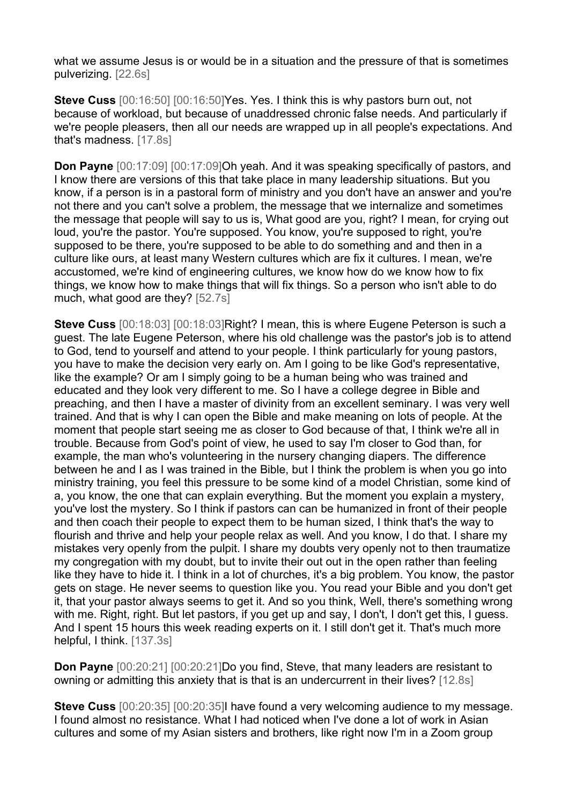what we assume Jesus is or would be in a situation and the pressure of that is sometimes pulverizing. [22.6s]

**Steve Cuss**  $[00:16:50]$   $[00:16:50]$  Yes. Yes. I think this is why pastors burn out, not because of workload, but because of unaddressed chronic false needs. And particularly if we're people pleasers, then all our needs are wrapped up in all people's expectations. And that's madness. [17.8s]

**Don Payne**  $[00:17:09]$   $[00:17:09]$ Oh yeah. And it was speaking specifically of pastors, and I know there are versions of this that take place in many leadership situations. But you know, if a person is in a pastoral form of ministry and you don't have an answer and you're not there and you can't solve a problem, the message that we internalize and sometimes the message that people will say to us is, What good are you, right? I mean, for crying out loud, you're the pastor. You're supposed. You know, you're supposed to right, you're supposed to be there, you're supposed to be able to do something and and then in a culture like ours, at least many Western cultures which are fix it cultures. I mean, we're accustomed, we're kind of engineering cultures, we know how do we know how to fix things, we know how to make things that will fix things. So a person who isn't able to do much, what good are they? [52.7s]

**Steve Cuss** [00:18:03] [00:18:03]Right? I mean, this is where Eugene Peterson is such a guest. The late Eugene Peterson, where his old challenge was the pastor's job is to attend to God, tend to yourself and attend to your people. I think particularly for young pastors, you have to make the decision very early on. Am I going to be like God's representative, like the example? Or am I simply going to be a human being who was trained and educated and they look very different to me. So I have a college degree in Bible and preaching, and then I have a master of divinity from an excellent seminary. I was very well trained. And that is why I can open the Bible and make meaning on lots of people. At the moment that people start seeing me as closer to God because of that, I think we're all in trouble. Because from God's point of view, he used to say I'm closer to God than, for example, the man who's volunteering in the nursery changing diapers. The difference between he and I as I was trained in the Bible, but I think the problem is when you go into ministry training, you feel this pressure to be some kind of a model Christian, some kind of a, you know, the one that can explain everything. But the moment you explain a mystery, you've lost the mystery. So I think if pastors can can be humanized in front of their people and then coach their people to expect them to be human sized, I think that's the way to flourish and thrive and help your people relax as well. And you know, I do that. I share my mistakes very openly from the pulpit. I share my doubts very openly not to then traumatize my congregation with my doubt, but to invite their out out in the open rather than feeling like they have to hide it. I think in a lot of churches, it's a big problem. You know, the pastor gets on stage. He never seems to question like you. You read your Bible and you don't get it, that your pastor always seems to get it. And so you think, Well, there's something wrong with me. Right, right. But let pastors, if you get up and say, I don't, I don't get this, I guess. And I spent 15 hours this week reading experts on it. I still don't get it. That's much more helpful, I think. [137.3s]

**Don Payne**  $[00:20:21]$   $[00:20:21]$  Do you find, Steve, that many leaders are resistant to owning or admitting this anxiety that is that is an undercurrent in their lives? [12.8s]

**Steve Cuss** [00:20:35] [00:20:35]I have found a very welcoming audience to my message. I found almost no resistance. What I had noticed when I've done a lot of work in Asian cultures and some of my Asian sisters and brothers, like right now I'm in a Zoom group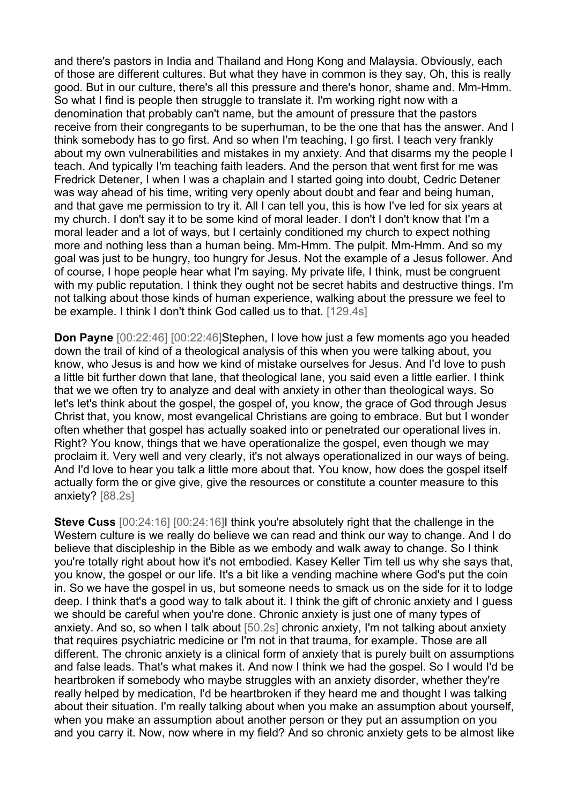and there's pastors in India and Thailand and Hong Kong and Malaysia. Obviously, each of those are different cultures. But what they have in common is they say, Oh, this is really good. But in our culture, there's all this pressure and there's honor, shame and. Mm-Hmm. So what I find is people then struggle to translate it. I'm working right now with a denomination that probably can't name, but the amount of pressure that the pastors receive from their congregants to be superhuman, to be the one that has the answer. And I think somebody has to go first. And so when I'm teaching, I go first. I teach very frankly about my own vulnerabilities and mistakes in my anxiety. And that disarms my the people I teach. And typically I'm teaching faith leaders. And the person that went first for me was Fredrick Detener, I when I was a chaplain and I started going into doubt, Cedric Detener was way ahead of his time, writing very openly about doubt and fear and being human, and that gave me permission to try it. All I can tell you, this is how I've led for six years at my church. I don't say it to be some kind of moral leader. I don't I don't know that I'm a moral leader and a lot of ways, but I certainly conditioned my church to expect nothing more and nothing less than a human being. Mm-Hmm. The pulpit. Mm-Hmm. And so my goal was just to be hungry, too hungry for Jesus. Not the example of a Jesus follower. And of course, I hope people hear what I'm saying. My private life, I think, must be congruent with my public reputation. I think they ought not be secret habits and destructive things. I'm not talking about those kinds of human experience, walking about the pressure we feel to be example. I think I don't think God called us to that. [129.4s]

**Don Payne** [00:22:46] [00:22:46]Stephen, I love how just a few moments ago you headed down the trail of kind of a theological analysis of this when you were talking about, you know, who Jesus is and how we kind of mistake ourselves for Jesus. And I'd love to push a little bit further down that lane, that theological lane, you said even a little earlier. I think that we we often try to analyze and deal with anxiety in other than theological ways. So let's let's think about the gospel, the gospel of, you know, the grace of God through Jesus Christ that, you know, most evangelical Christians are going to embrace. But but I wonder often whether that gospel has actually soaked into or penetrated our operational lives in. Right? You know, things that we have operationalize the gospel, even though we may proclaim it. Very well and very clearly, it's not always operationalized in our ways of being. And I'd love to hear you talk a little more about that. You know, how does the gospel itself actually form the or give give, give the resources or constitute a counter measure to this anxiety? [88.2s]

**Steve Cuss**  $[00:24:16]$   $[00:24:16]$  think you're absolutely right that the challenge in the Western culture is we really do believe we can read and think our way to change. And I do believe that discipleship in the Bible as we embody and walk away to change. So I think you're totally right about how it's not embodied. Kasey Keller Tim tell us why she says that, you know, the gospel or our life. It's a bit like a vending machine where God's put the coin in. So we have the gospel in us, but someone needs to smack us on the side for it to lodge deep. I think that's a good way to talk about it. I think the gift of chronic anxiety and I guess we should be careful when you're done. Chronic anxiety is just one of many types of anxiety. And so, so when I talk about [50.2s] chronic anxiety, I'm not talking about anxiety that requires psychiatric medicine or I'm not in that trauma, for example. Those are all different. The chronic anxiety is a clinical form of anxiety that is purely built on assumptions and false leads. That's what makes it. And now I think we had the gospel. So I would I'd be heartbroken if somebody who maybe struggles with an anxiety disorder, whether they're really helped by medication, I'd be heartbroken if they heard me and thought I was talking about their situation. I'm really talking about when you make an assumption about yourself, when you make an assumption about another person or they put an assumption on you and you carry it. Now, now where in my field? And so chronic anxiety gets to be almost like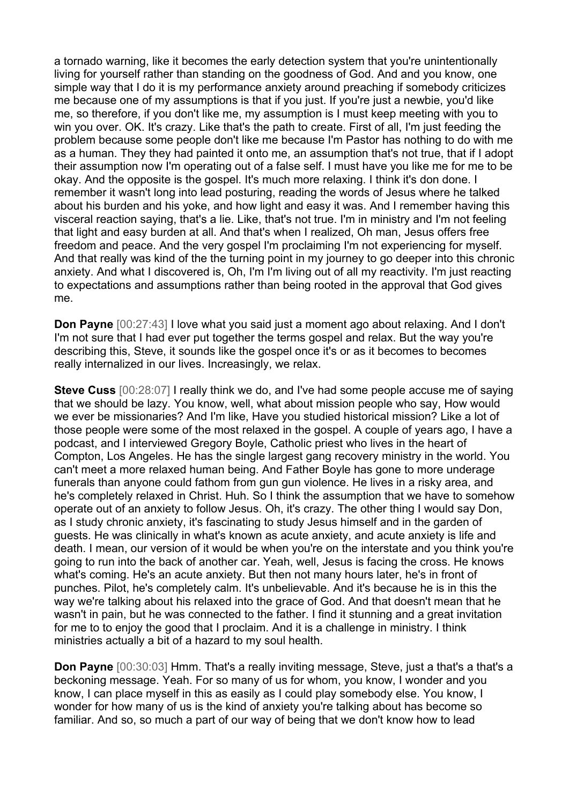a tornado warning, like it becomes the early detection system that you're unintentionally living for yourself rather than standing on the goodness of God. And and you know, one simple way that I do it is my performance anxiety around preaching if somebody criticizes me because one of my assumptions is that if you just. If you're just a newbie, you'd like me, so therefore, if you don't like me, my assumption is I must keep meeting with you to win you over. OK. It's crazy. Like that's the path to create. First of all, I'm just feeding the problem because some people don't like me because I'm Pastor has nothing to do with me as a human. They they had painted it onto me, an assumption that's not true, that if I adopt their assumption now I'm operating out of a false self. I must have you like me for me to be okay. And the opposite is the gospel. It's much more relaxing. I think it's don done. I remember it wasn't long into lead posturing, reading the words of Jesus where he talked about his burden and his yoke, and how light and easy it was. And I remember having this visceral reaction saying, that's a lie. Like, that's not true. I'm in ministry and I'm not feeling that light and easy burden at all. And that's when I realized, Oh man, Jesus offers free freedom and peace. And the very gospel I'm proclaiming I'm not experiencing for myself. And that really was kind of the the turning point in my journey to go deeper into this chronic anxiety. And what I discovered is, Oh, I'm I'm living out of all my reactivity. I'm just reacting to expectations and assumptions rather than being rooted in the approval that God gives me.

**Don Payne** [00:27:43] I love what you said just a moment ago about relaxing. And I don't I'm not sure that I had ever put together the terms gospel and relax. But the way you're describing this, Steve, it sounds like the gospel once it's or as it becomes to becomes really internalized in our lives. Increasingly, we relax.

**Steve Cuss** [00:28:07] I really think we do, and I've had some people accuse me of saying that we should be lazy. You know, well, what about mission people who say, How would we ever be missionaries? And I'm like, Have you studied historical mission? Like a lot of those people were some of the most relaxed in the gospel. A couple of years ago, I have a podcast, and I interviewed Gregory Boyle, Catholic priest who lives in the heart of Compton, Los Angeles. He has the single largest gang recovery ministry in the world. You can't meet a more relaxed human being. And Father Boyle has gone to more underage funerals than anyone could fathom from gun gun violence. He lives in a risky area, and he's completely relaxed in Christ. Huh. So I think the assumption that we have to somehow operate out of an anxiety to follow Jesus. Oh, it's crazy. The other thing I would say Don, as I study chronic anxiety, it's fascinating to study Jesus himself and in the garden of guests. He was clinically in what's known as acute anxiety, and acute anxiety is life and death. I mean, our version of it would be when you're on the interstate and you think you're going to run into the back of another car. Yeah, well, Jesus is facing the cross. He knows what's coming. He's an acute anxiety. But then not many hours later, he's in front of punches. Pilot, he's completely calm. It's unbelievable. And it's because he is in this the way we're talking about his relaxed into the grace of God. And that doesn't mean that he wasn't in pain, but he was connected to the father. I find it stunning and a great invitation for me to to enjoy the good that I proclaim. And it is a challenge in ministry. I think ministries actually a bit of a hazard to my soul health.

**Don Payne** [00:30:03] Hmm. That's a really inviting message, Steve, just a that's a that's a beckoning message. Yeah. For so many of us for whom, you know, I wonder and you know, I can place myself in this as easily as I could play somebody else. You know, I wonder for how many of us is the kind of anxiety you're talking about has become so familiar. And so, so much a part of our way of being that we don't know how to lead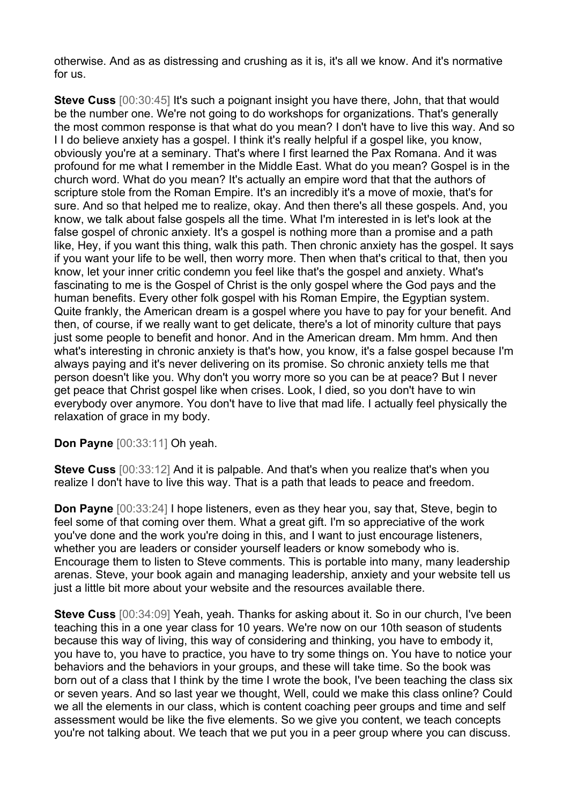otherwise. And as as distressing and crushing as it is, it's all we know. And it's normative for us.

**Steve Cuss**  $[00:30:45]$  It's such a poignant insight you have there, John, that that would be the number one. We're not going to do workshops for organizations. That's generally the most common response is that what do you mean? I don't have to live this way. And so I I do believe anxiety has a gospel. I think it's really helpful if a gospel like, you know, obviously you're at a seminary. That's where I first learned the Pax Romana. And it was profound for me what I remember in the Middle East. What do you mean? Gospel is in the church word. What do you mean? It's actually an empire word that that the authors of scripture stole from the Roman Empire. It's an incredibly it's a move of moxie, that's for sure. And so that helped me to realize, okay. And then there's all these gospels. And, you know, we talk about false gospels all the time. What I'm interested in is let's look at the false gospel of chronic anxiety. It's a gospel is nothing more than a promise and a path like, Hey, if you want this thing, walk this path. Then chronic anxiety has the gospel. It says if you want your life to be well, then worry more. Then when that's critical to that, then you know, let your inner critic condemn you feel like that's the gospel and anxiety. What's fascinating to me is the Gospel of Christ is the only gospel where the God pays and the human benefits. Every other folk gospel with his Roman Empire, the Egyptian system. Quite frankly, the American dream is a gospel where you have to pay for your benefit. And then, of course, if we really want to get delicate, there's a lot of minority culture that pays just some people to benefit and honor. And in the American dream. Mm hmm. And then what's interesting in chronic anxiety is that's how, you know, it's a false gospel because I'm always paying and it's never delivering on its promise. So chronic anxiety tells me that person doesn't like you. Why don't you worry more so you can be at peace? But I never get peace that Christ gospel like when crises. Look, I died, so you don't have to win everybody over anymore. You don't have to live that mad life. I actually feel physically the relaxation of grace in my body.

**Don Payne** [00:33:11] Oh yeah.

**Steve Cuss**  $[00:33:12]$  And it is palpable. And that's when you realize that's when you realize I don't have to live this way. That is a path that leads to peace and freedom.

**Don Payne** [00:33:24] I hope listeners, even as they hear you, say that, Steve, begin to feel some of that coming over them. What a great gift. I'm so appreciative of the work you've done and the work you're doing in this, and I want to just encourage listeners, whether you are leaders or consider yourself leaders or know somebody who is. Encourage them to listen to Steve comments. This is portable into many, many leadership arenas. Steve, your book again and managing leadership, anxiety and your website tell us just a little bit more about your website and the resources available there.

**Steve Cuss** [00:34:09] Yeah, yeah. Thanks for asking about it. So in our church, I've been teaching this in a one year class for 10 years. We're now on our 10th season of students because this way of living, this way of considering and thinking, you have to embody it, you have to, you have to practice, you have to try some things on. You have to notice your behaviors and the behaviors in your groups, and these will take time. So the book was born out of a class that I think by the time I wrote the book, I've been teaching the class six or seven years. And so last year we thought, Well, could we make this class online? Could we all the elements in our class, which is content coaching peer groups and time and self assessment would be like the five elements. So we give you content, we teach concepts you're not talking about. We teach that we put you in a peer group where you can discuss.